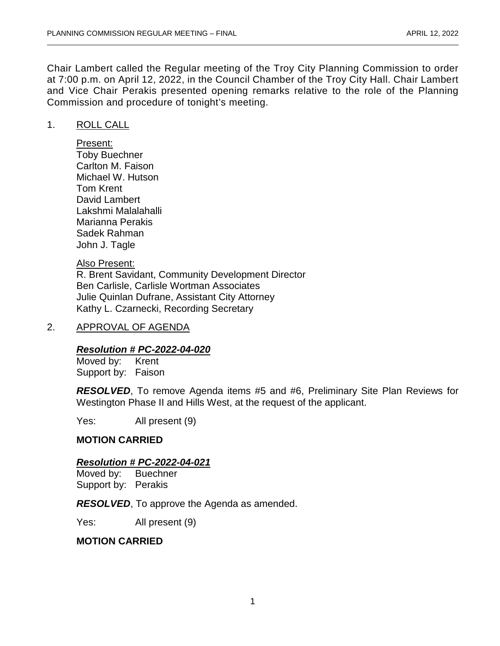Chair Lambert called the Regular meeting of the Troy City Planning Commission to order at 7:00 p.m. on April 12, 2022, in the Council Chamber of the Troy City Hall. Chair Lambert and Vice Chair Perakis presented opening remarks relative to the role of the Planning Commission and procedure of tonight's meeting.

## 1. ROLL CALL

Present: Toby Buechner Carlton M. Faison Michael W. Hutson Tom Krent David Lambert Lakshmi Malalahalli Marianna Perakis Sadek Rahman John J. Tagle

#### Also Present:

R. Brent Savidant, Community Development Director Ben Carlisle, Carlisle Wortman Associates Julie Quinlan Dufrane, Assistant City Attorney Kathy L. Czarnecki, Recording Secretary

## 2. APPROVAL OF AGENDA

#### *Resolution # PC-2022-04-020*

Moved by: Krent Support by: Faison

*RESOLVED*, To remove Agenda items #5 and #6, Preliminary Site Plan Reviews for Westington Phase II and Hills West, at the request of the applicant.

Yes: All present (9)

#### **MOTION CARRIED**

#### *Resolution # PC-2022-04-021*

Moved by: Buechner Support by: Perakis

*RESOLVED*, To approve the Agenda as amended.

Yes: All present (9)

#### **MOTION CARRIED**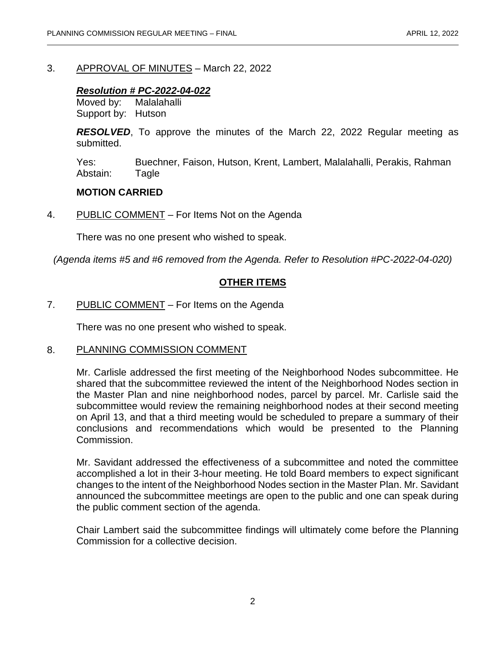3. APPROVAL OF MINUTES – March 22, 2022

## *Resolution # PC-2022-04-022*

Moved by: Malalahalli Support by: Hutson

*RESOLVED*, To approve the minutes of the March 22, 2022 Regular meeting as submitted.

Yes: Buechner, Faison, Hutson, Krent, Lambert, Malalahalli, Perakis, Rahman Abstain: Tagle

#### **MOTION CARRIED**

4. PUBLIC COMMENT – For Items Not on the Agenda

There was no one present who wished to speak.

*(Agenda items #5 and #6 removed from the Agenda. Refer to Resolution #PC-2022-04-020)*

# **OTHER ITEMS**

7. PUBLIC COMMENT – For Items on the Agenda

There was no one present who wished to speak.

#### 8. PLANNING COMMISSION COMMENT

Mr. Carlisle addressed the first meeting of the Neighborhood Nodes subcommittee. He shared that the subcommittee reviewed the intent of the Neighborhood Nodes section in the Master Plan and nine neighborhood nodes, parcel by parcel. Mr. Carlisle said the subcommittee would review the remaining neighborhood nodes at their second meeting on April 13, and that a third meeting would be scheduled to prepare a summary of their conclusions and recommendations which would be presented to the Planning Commission.

Mr. Savidant addressed the effectiveness of a subcommittee and noted the committee accomplished a lot in their 3-hour meeting. He told Board members to expect significant changes to the intent of the Neighborhood Nodes section in the Master Plan. Mr. Savidant announced the subcommittee meetings are open to the public and one can speak during the public comment section of the agenda.

Chair Lambert said the subcommittee findings will ultimately come before the Planning Commission for a collective decision.